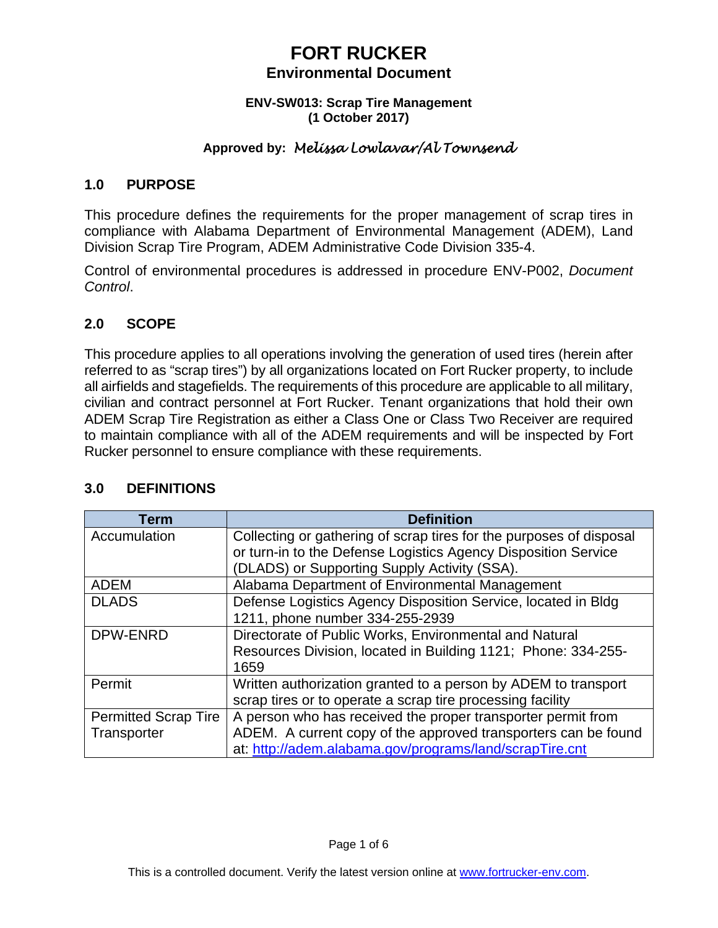#### **ENV-SW013: Scrap Tire Management (1 October 2017)**

# **Approved by:** *Melissa Lowlavar/Al Townsend*

### **1.0 PURPOSE**

This procedure defines the requirements for the proper management of scrap tires in compliance with Alabama Department of Environmental Management (ADEM), Land Division Scrap Tire Program, ADEM Administrative Code Division 335-4.

Control of environmental procedures is addressed in procedure ENV-P002, *Document Control*.

## **2.0 SCOPE**

This procedure applies to all operations involving the generation of used tires (herein after referred to as "scrap tires") by all organizations located on Fort Rucker property, to include all airfields and stagefields. The requirements of this procedure are applicable to all military, civilian and contract personnel at Fort Rucker. Tenant organizations that hold their own ADEM Scrap Tire Registration as either a Class One or Class Two Receiver are required to maintain compliance with all of the ADEM requirements and will be inspected by Fort Rucker personnel to ensure compliance with these requirements.

| Term                        | <b>Definition</b>                                                   |
|-----------------------------|---------------------------------------------------------------------|
| Accumulation                | Collecting or gathering of scrap tires for the purposes of disposal |
|                             | or turn-in to the Defense Logistics Agency Disposition Service      |
|                             | (DLADS) or Supporting Supply Activity (SSA).                        |
| <b>ADEM</b>                 | Alabama Department of Environmental Management                      |
| <b>DLADS</b>                | Defense Logistics Agency Disposition Service, located in Bldg       |
|                             | 1211, phone number 334-255-2939                                     |
| <b>DPW-ENRD</b>             | Directorate of Public Works, Environmental and Natural              |
|                             | Resources Division, located in Building 1121; Phone: 334-255-       |
|                             | 1659                                                                |
| Permit                      | Written authorization granted to a person by ADEM to transport      |
|                             | scrap tires or to operate a scrap tire processing facility          |
| <b>Permitted Scrap Tire</b> | A person who has received the proper transporter permit from        |
| Transporter                 | ADEM. A current copy of the approved transporters can be found      |
|                             | at: http://adem.alabama.gov/programs/land/scrapTire.cnt             |

## **3.0 DEFINITIONS**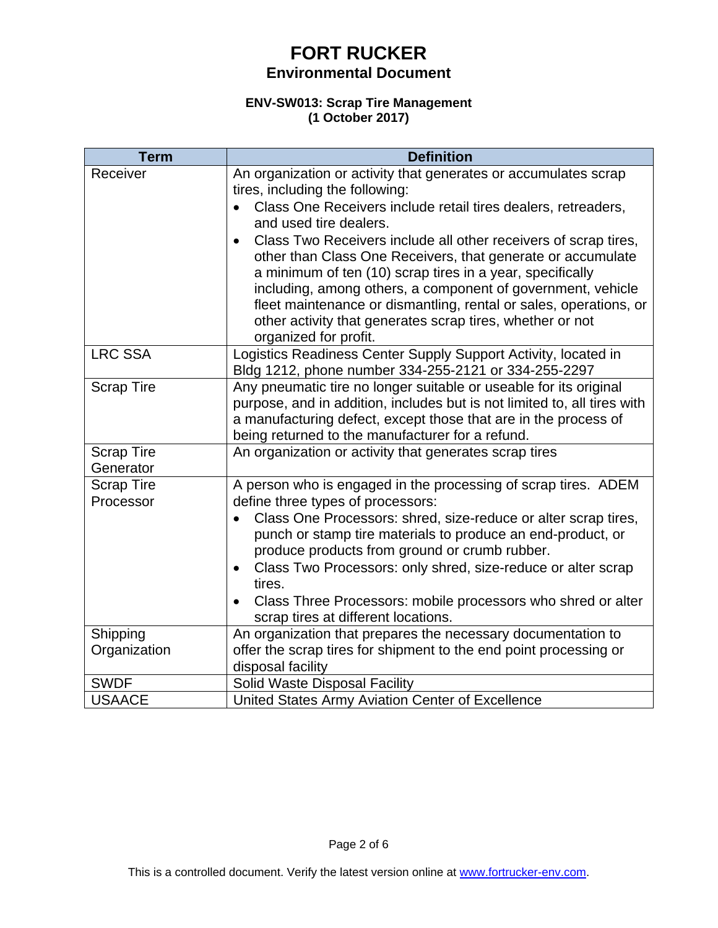#### **ENV-SW013: Scrap Tire Management (1 October 2017)**

| <b>Term</b>                    | <b>Definition</b>                                                                                                                                                                                                                                                                                                                                                                                                                                                                                                                                                                                          |
|--------------------------------|------------------------------------------------------------------------------------------------------------------------------------------------------------------------------------------------------------------------------------------------------------------------------------------------------------------------------------------------------------------------------------------------------------------------------------------------------------------------------------------------------------------------------------------------------------------------------------------------------------|
| Receiver                       | An organization or activity that generates or accumulates scrap<br>tires, including the following:<br>Class One Receivers include retail tires dealers, retreaders,<br>and used tire dealers.<br>Class Two Receivers include all other receivers of scrap tires,<br>$\bullet$<br>other than Class One Receivers, that generate or accumulate<br>a minimum of ten (10) scrap tires in a year, specifically<br>including, among others, a component of government, vehicle<br>fleet maintenance or dismantling, rental or sales, operations, or<br>other activity that generates scrap tires, whether or not |
| <b>LRC SSA</b>                 | organized for profit.<br>Logistics Readiness Center Supply Support Activity, located in<br>Bldg 1212, phone number 334-255-2121 or 334-255-2297                                                                                                                                                                                                                                                                                                                                                                                                                                                            |
| <b>Scrap Tire</b>              | Any pneumatic tire no longer suitable or useable for its original<br>purpose, and in addition, includes but is not limited to, all tires with<br>a manufacturing defect, except those that are in the process of<br>being returned to the manufacturer for a refund.                                                                                                                                                                                                                                                                                                                                       |
| <b>Scrap Tire</b><br>Generator | An organization or activity that generates scrap tires                                                                                                                                                                                                                                                                                                                                                                                                                                                                                                                                                     |
| <b>Scrap Tire</b><br>Processor | A person who is engaged in the processing of scrap tires. ADEM<br>define three types of processors:<br>Class One Processors: shred, size-reduce or alter scrap tires,<br>$\bullet$<br>punch or stamp tire materials to produce an end-product, or<br>produce products from ground or crumb rubber.<br>Class Two Processors: only shred, size-reduce or alter scrap<br>٠<br>tires.<br>Class Three Processors: mobile processors who shred or alter<br>$\bullet$<br>scrap tires at different locations.                                                                                                      |
| Shipping<br>Organization       | An organization that prepares the necessary documentation to<br>offer the scrap tires for shipment to the end point processing or<br>disposal facility                                                                                                                                                                                                                                                                                                                                                                                                                                                     |
| <b>SWDF</b>                    | Solid Waste Disposal Facility                                                                                                                                                                                                                                                                                                                                                                                                                                                                                                                                                                              |
| <b>USAACE</b>                  | United States Army Aviation Center of Excellence                                                                                                                                                                                                                                                                                                                                                                                                                                                                                                                                                           |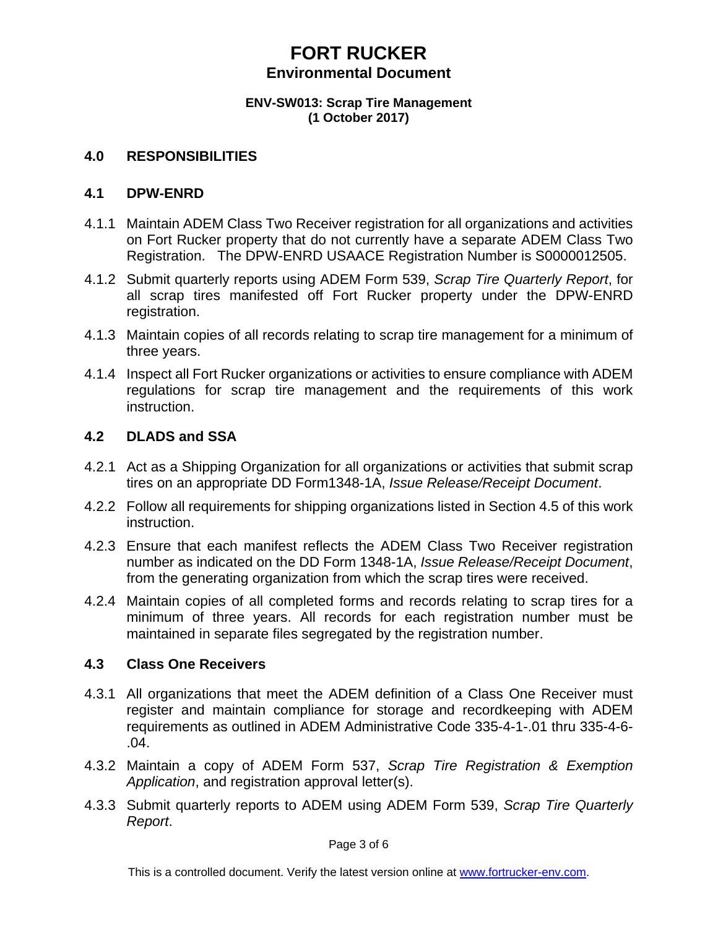#### **ENV-SW013: Scrap Tire Management (1 October 2017)**

#### **4.0 RESPONSIBILITIES**

#### **4.1 DPW-ENRD**

- 4.1.1 Maintain ADEM Class Two Receiver registration for all organizations and activities on Fort Rucker property that do not currently have a separate ADEM Class Two Registration. The DPW-ENRD USAACE Registration Number is S0000012505.
- 4.1.2 Submit quarterly reports using ADEM Form 539, *Scrap Tire Quarterly Report*, for all scrap tires manifested off Fort Rucker property under the DPW-ENRD registration.
- 4.1.3 Maintain copies of all records relating to scrap tire management for a minimum of three years.
- 4.1.4 Inspect all Fort Rucker organizations or activities to ensure compliance with ADEM regulations for scrap tire management and the requirements of this work instruction.

### **4.2 DLADS and SSA**

- 4.2.1 Act as a Shipping Organization for all organizations or activities that submit scrap tires on an appropriate DD Form1348-1A, *Issue Release/Receipt Document*.
- 4.2.2 Follow all requirements for shipping organizations listed in Section 4.5 of this work instruction.
- 4.2.3 Ensure that each manifest reflects the ADEM Class Two Receiver registration number as indicated on the DD Form 1348-1A, *Issue Release/Receipt Document*, from the generating organization from which the scrap tires were received.
- 4.2.4 Maintain copies of all completed forms and records relating to scrap tires for a minimum of three years. All records for each registration number must be maintained in separate files segregated by the registration number.

### **4.3 Class One Receivers**

- 4.3.1 All organizations that meet the ADEM definition of a Class One Receiver must register and maintain compliance for storage and recordkeeping with ADEM requirements as outlined in ADEM Administrative Code 335-4-1-.01 thru 335-4-6- .04.
- 4.3.2 Maintain a copy of ADEM Form 537, *Scrap Tire Registration & Exemption Application*, and registration approval letter(s).
- 4.3.3 Submit quarterly reports to ADEM using ADEM Form 539, *Scrap Tire Quarterly Report*.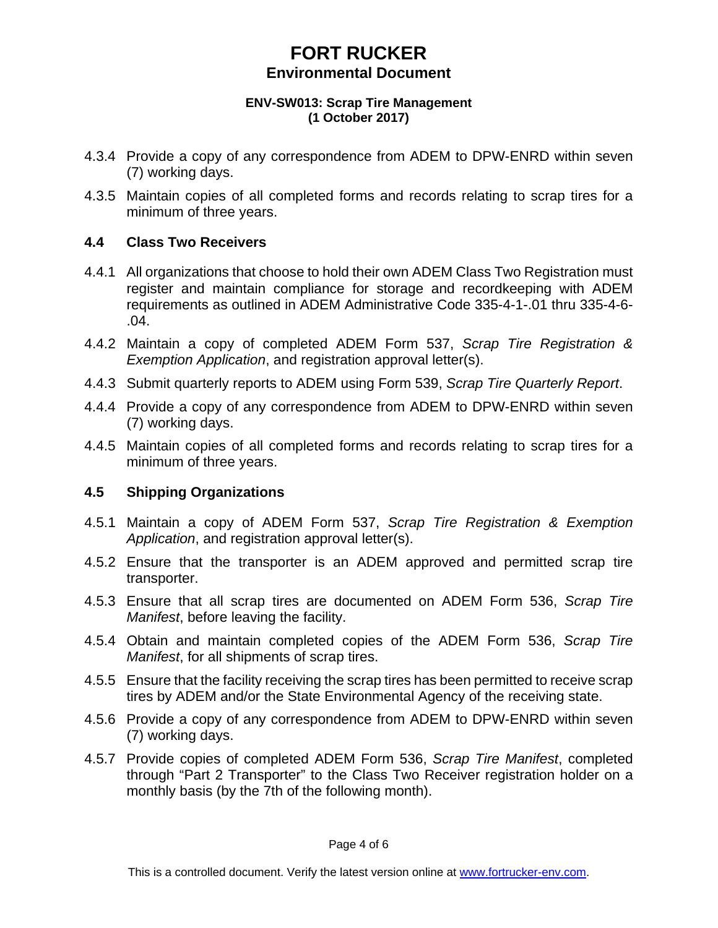#### **ENV-SW013: Scrap Tire Management (1 October 2017)**

- 4.3.4 Provide a copy of any correspondence from ADEM to DPW-ENRD within seven (7) working days.
- 4.3.5 Maintain copies of all completed forms and records relating to scrap tires for a minimum of three years.

## **4.4 Class Two Receivers**

- 4.4.1 All organizations that choose to hold their own ADEM Class Two Registration must register and maintain compliance for storage and recordkeeping with ADEM requirements as outlined in ADEM Administrative Code 335-4-1-.01 thru 335-4-6- .04.
- 4.4.2 Maintain a copy of completed ADEM Form 537, *Scrap Tire Registration & Exemption Application*, and registration approval letter(s).
- 4.4.3 Submit quarterly reports to ADEM using Form 539, *Scrap Tire Quarterly Report*.
- 4.4.4 Provide a copy of any correspondence from ADEM to DPW-ENRD within seven (7) working days.
- 4.4.5 Maintain copies of all completed forms and records relating to scrap tires for a minimum of three years.

## **4.5 Shipping Organizations**

- 4.5.1 Maintain a copy of ADEM Form 537, *Scrap Tire Registration & Exemption Application*, and registration approval letter(s).
- 4.5.2 Ensure that the transporter is an ADEM approved and permitted scrap tire transporter.
- 4.5.3 Ensure that all scrap tires are documented on ADEM Form 536, *Scrap Tire Manifest*, before leaving the facility.
- 4.5.4 Obtain and maintain completed copies of the ADEM Form 536, *Scrap Tire Manifest*, for all shipments of scrap tires.
- 4.5.5 Ensure that the facility receiving the scrap tires has been permitted to receive scrap tires by ADEM and/or the State Environmental Agency of the receiving state.
- 4.5.6 Provide a copy of any correspondence from ADEM to DPW-ENRD within seven (7) working days.
- 4.5.7 Provide copies of completed ADEM Form 536, *Scrap Tire Manifest*, completed through "Part 2 Transporter" to the Class Two Receiver registration holder on a monthly basis (by the 7th of the following month).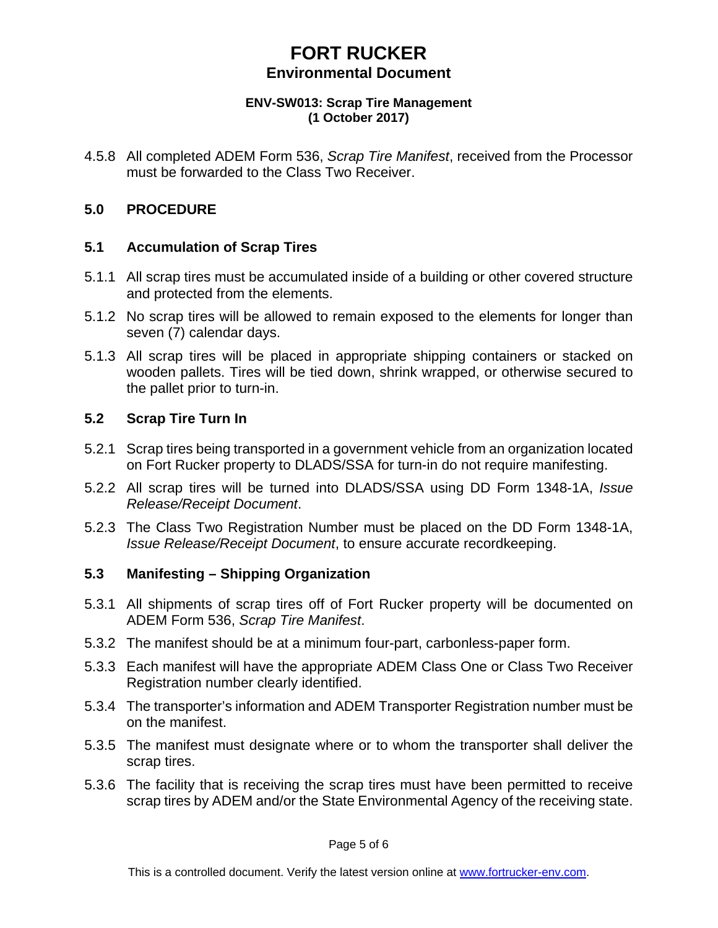#### **ENV-SW013: Scrap Tire Management (1 October 2017)**

4.5.8 All completed ADEM Form 536, *Scrap Tire Manifest*, received from the Processor must be forwarded to the Class Two Receiver.

# **5.0 PROCEDURE**

## **5.1 Accumulation of Scrap Tires**

- 5.1.1 All scrap tires must be accumulated inside of a building or other covered structure and protected from the elements.
- 5.1.2 No scrap tires will be allowed to remain exposed to the elements for longer than seven (7) calendar days.
- 5.1.3 All scrap tires will be placed in appropriate shipping containers or stacked on wooden pallets. Tires will be tied down, shrink wrapped, or otherwise secured to the pallet prior to turn-in.

### **5.2 Scrap Tire Turn In**

- 5.2.1 Scrap tires being transported in a government vehicle from an organization located on Fort Rucker property to DLADS/SSA for turn-in do not require manifesting.
- 5.2.2 All scrap tires will be turned into DLADS/SSA using DD Form 1348-1A, *Issue Release/Receipt Document*.
- 5.2.3 The Class Two Registration Number must be placed on the DD Form 1348-1A, *Issue Release/Receipt Document*, to ensure accurate recordkeeping.

## **5.3 Manifesting – Shipping Organization**

- 5.3.1 All shipments of scrap tires off of Fort Rucker property will be documented on ADEM Form 536, *Scrap Tire Manifest*.
- 5.3.2 The manifest should be at a minimum four-part, carbonless-paper form.
- 5.3.3 Each manifest will have the appropriate ADEM Class One or Class Two Receiver Registration number clearly identified.
- 5.3.4 The transporter's information and ADEM Transporter Registration number must be on the manifest.
- 5.3.5 The manifest must designate where or to whom the transporter shall deliver the scrap tires.
- 5.3.6 The facility that is receiving the scrap tires must have been permitted to receive scrap tires by ADEM and/or the State Environmental Agency of the receiving state.